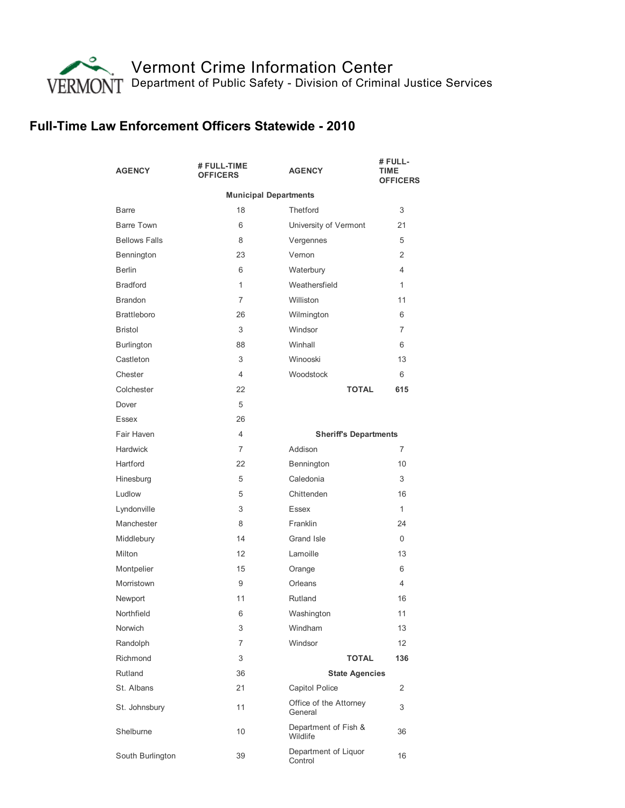

## Full-Time Law Enforcement Officers Statewide - 2010

| <b>AGENCY</b>                | # FULL-TIME<br><b>OFFICERS</b> | <b>AGENCY</b>                     | # FULL-<br>TIME<br><b>OFFICERS</b> |  |
|------------------------------|--------------------------------|-----------------------------------|------------------------------------|--|
| <b>Municipal Departments</b> |                                |                                   |                                    |  |
| <b>Barre</b>                 | 18                             | <b>Thetford</b>                   | 3                                  |  |
| Barre Town                   | 6                              | University of Vermont             | 21                                 |  |
| <b>Bellows Falls</b>         | 8                              | Vergennes                         | 5                                  |  |
| Bennington                   | 23                             | Vernon                            | 2                                  |  |
| <b>Berlin</b>                | 6                              | Waterbury                         | 4                                  |  |
| <b>Bradford</b>              | 1                              | Weathersfield                     | 1                                  |  |
| <b>Brandon</b>               | 7                              | Williston                         | 11                                 |  |
| <b>Brattleboro</b>           | 26                             | Wilmington                        | 6                                  |  |
| <b>Bristol</b>               | 3                              | Windsor                           | $\overline{7}$                     |  |
| <b>Burlington</b>            | 88                             | Winhall                           | 6                                  |  |
| Castleton                    | 3                              | Winooski                          | 13                                 |  |
| Chester                      | 4                              | Woodstock                         | 6                                  |  |
| Colchester                   | 22                             | <b>TOTAL</b>                      | 615                                |  |
| Dover                        | 5                              |                                   |                                    |  |
| Essex                        | 26                             |                                   |                                    |  |
| Fair Haven                   | 4                              | <b>Sheriff's Departments</b>      |                                    |  |
| Hardwick                     | 7                              | Addison                           | 7                                  |  |
| Hartford                     | 22                             | Bennington                        | 10                                 |  |
| Hinesburg                    | 5                              | Caledonia                         | 3                                  |  |
| Ludlow                       | 5                              | Chittenden                        | 16                                 |  |
| Lyndonville                  | 3                              | Essex                             | 1                                  |  |
| Manchester                   | 8                              | Franklin                          | 24                                 |  |
| Middlebury                   | 14                             | Grand Isle                        | $\Omega$                           |  |
| Milton                       | 12                             | Lamoille                          | 13                                 |  |
| Montpelier                   | 15                             | Orange                            | 6                                  |  |
| Morristown                   | 9                              | Orleans                           | 4                                  |  |
| Newport                      | 11                             | Rutland                           | 16                                 |  |
| Northfield                   | 6                              | Washington                        | 11                                 |  |
| Norwich                      | 3                              | Windham                           | 13                                 |  |
| Randolph                     | 7                              | Windsor                           | 12                                 |  |
| Richmond                     | 3                              | <b>TOTAL</b>                      | 136                                |  |
| Rutland                      | 36                             | <b>State Agencies</b>             |                                    |  |
| St. Albans                   | 21                             | Capitol Police                    | 2                                  |  |
| St. Johnsbury                | 11                             | Office of the Attorney<br>General | 3                                  |  |
| Shelburne                    | 10                             | Department of Fish &<br>Wildlife  | 36                                 |  |
| South Burlington             | 39                             | Department of Liquor<br>Control   | 16                                 |  |